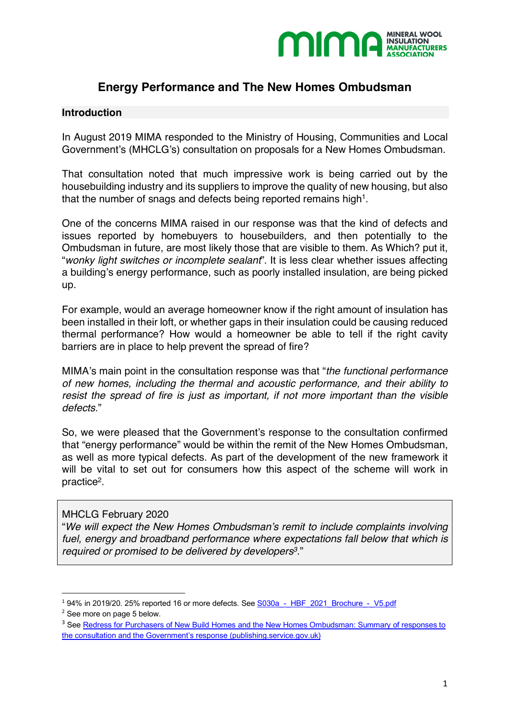

# **Energy Performance and The New Homes Ombudsman**

## **Introduction**

In August 2019 MIMA responded to the Ministry of Housing, Communities and Local Government's (MHCLG's) consultation on proposals for a New Homes Ombudsman.

That consultation noted that much impressive work is being carried out by the housebuilding industry and its suppliers to improve the quality of new housing, but also that the number of snags and defects being reported remains high<sup>1</sup>.

One of the concerns MIMA raised in our response was that the kind of defects and issues reported by homebuyers to housebuilders, and then potentially to the Ombudsman in future, are most likely those that are visible to them. As Which? put it, "*wonky light switches or incomplete sealant*". It is less clear whether issues affecting a building's energy performance, such as poorly installed insulation, are being picked up.

For example, would an average homeowner know if the right amount of insulation has been installed in their loft, or whether gaps in their insulation could be causing reduced thermal performance? How would a homeowner be able to tell if the right cavity barriers are in place to help prevent the spread of fire?

MIMA's main point in the consultation response was that "*the functional performance of new homes, including the thermal and acoustic performance, and their ability to resist the spread of fire is just as important, if not more important than the visible defects*."

So, we were pleased that the Government's response to the consultation confirmed that "energy performance" would be within the remit of the New Homes Ombudsman, as well as more typical defects. As part of the development of the new framework it will be vital to set out for consumers how this aspect of the scheme will work in practice2.

## MHCLG February 2020

"*We will expect the New Homes Ombudsman's remit to include complaints involving fuel, energy and broadband performance where expectations fall below that which is required or promised to be delivered by developers3*."

 $194\%$  in 2019/20. 25% reported 16 or more defects. See S030a - HBF\_2021\_Brochure\_-\_V5.pdf

<sup>2</sup> See more on page 5 below.

<sup>&</sup>lt;sup>3</sup> See Redress for Purchasers of New Build Homes and the New Homes Ombudsman: Summary of responses to the consultation and the Government's response (publishing.service.gov.uk)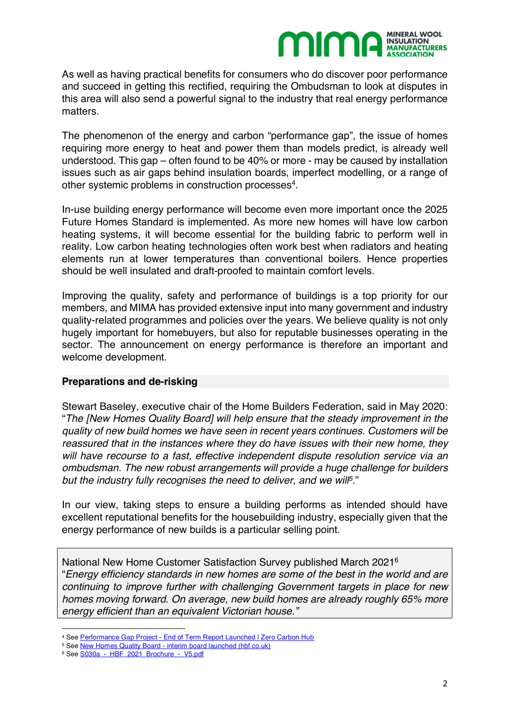

As well as having practical benefits for consumers who do discover poor performance and succeed in getting this rectified, requiring the Ombudsman to look at disputes in this area will also send a powerful signal to the industry that real energy performance matters.

The phenomenon of the energy and carbon "performance gap", the issue of homes requiring more energy to heat and power them than models predict, is already well understood. This gap – often found to be 40% or more - may be caused by installation issues such as air gaps behind insulation boards, imperfect modelling, or a range of other systemic problems in construction processes<sup>4</sup>.

In-use building energy performance will become even more important once the 2025 Future Homes Standard is implemented. As more new homes will have low carbon heating systems, it will become essential for the building fabric to perform well in reality. Low carbon heating technologies often work best when radiators and heating elements run at lower temperatures than conventional boilers. Hence properties should be well insulated and draft-proofed to maintain comfort levels.

Improving the quality, safety and performance of buildings is a top priority for our members, and MIMA has provided extensive input into many government and industry quality-related programmes and policies over the years. We believe quality is not only hugely important for homebuyers, but also for reputable businesses operating in the sector. The announcement on energy performance is therefore an important and welcome development.

## **Preparations and de-risking**

Stewart Baseley, executive chair of the Home Builders Federation, said in May 2020: "*The [New Homes Quality Board] will help ensure that the steady improvement in the quality of new build homes we have seen in recent years continues. Customers will be reassured that in the instances where they do have issues with their new home, they will have recourse to a fast, effective independent dispute resolution service via an ombudsman. The new robust arrangements will provide a huge challenge for builders but the industry fully recognises the need to deliver, and we will5*."

In our view, taking steps to ensure a building performs as intended should have excellent reputational benefits for the housebuilding industry, especially given that the energy performance of new builds is a particular selling point.

National New Home Customer Satisfaction Survey published March 20216 "*Energy efficiency standards in new homes are some of the best in the world and are continuing to improve further with challenging Government targets in place for new homes moving forward. On average, new build homes are already roughly 65% more energy efficient than an equivalent Victorian house."*

l

<sup>4</sup> See Performance Gap Project - End of Term Report Launched | Zero Carbon Hub

<sup>5</sup> See New Homes Quality Board - interim board launched (hbf.co.uk)

<sup>6</sup> See S030a - HBF 2021 Brochure - V5.pdf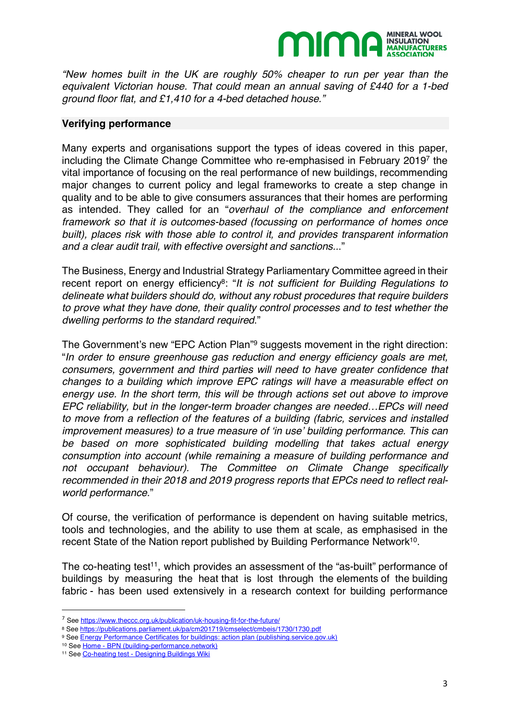

*"New homes built in the UK are roughly 50% cheaper to run per year than the equivalent Victorian house. That could mean an annual saving of £440 for a 1-bed ground floor flat, and £1,410 for a 4-bed detached house."*

## **Verifying performance**

Many experts and organisations support the types of ideas covered in this paper, including the Climate Change Committee who re-emphasised in February 20197 the vital importance of focusing on the real performance of new buildings, recommending major changes to current policy and legal frameworks to create a step change in quality and to be able to give consumers assurances that their homes are performing as intended. They called for an "*overhaul of the compliance and enforcement framework so that it is outcomes-based (focussing on performance of homes once built), places risk with those able to control it, and provides transparent information and a clear audit trail, with effective oversight and sanctions..*."

The Business, Energy and Industrial Strategy Parliamentary Committee agreed in their recent report on energy efficiency<sup>8</sup>: "*It is not sufficient for Building Regulations to delineate what builders should do, without any robust procedures that require builders to prove what they have done, their quality control processes and to test whether the dwelling performs to the standard required*."

The Government's new "EPC Action Plan"9 suggests movement in the right direction: "*In order to ensure greenhouse gas reduction and energy efficiency goals are met, consumers, government and third parties will need to have greater confidence that changes to a building which improve EPC ratings will have a measurable effect on energy use. In the short term, this will be through actions set out above to improve EPC reliability, but in the longer-term broader changes are needed…EPCs will need to move from a reflection of the features of a building (fabric, services and installed improvement measures) to a true measure of 'in use' building performance. This can be based on more sophisticated building modelling that takes actual energy consumption into account (while remaining a measure of building performance and not occupant behaviour). The Committee on Climate Change specifically recommended in their 2018 and 2019 progress reports that EPCs need to reflect realworld performance*."

Of course, the verification of performance is dependent on having suitable metrics, tools and technologies, and the ability to use them at scale, as emphasised in the recent State of the Nation report published by Building Performance Network<sup>10</sup>.

The co-heating test<sup>11</sup>, which provides an assessment of the "as-built" performance of buildings by measuring the heat that is lost through the elements of the building fabric - has been used extensively in a research context for building performance

 <sup>7</sup> See https://www.theccc.org.uk/publication/uk-housing-fit-for-the-future/

<sup>8</sup> See https://publications.parliament.uk/pa/cm201719/cmselect/cmbeis/1730/1730.pdf

<sup>9</sup> See Energy Performance Certificates for buildings: action plan (publishing.service.gov.uk)

<sup>10</sup> See Home - BPN (building-performance.network)

<sup>11</sup> See Co-heating test - Designing Buildings Wiki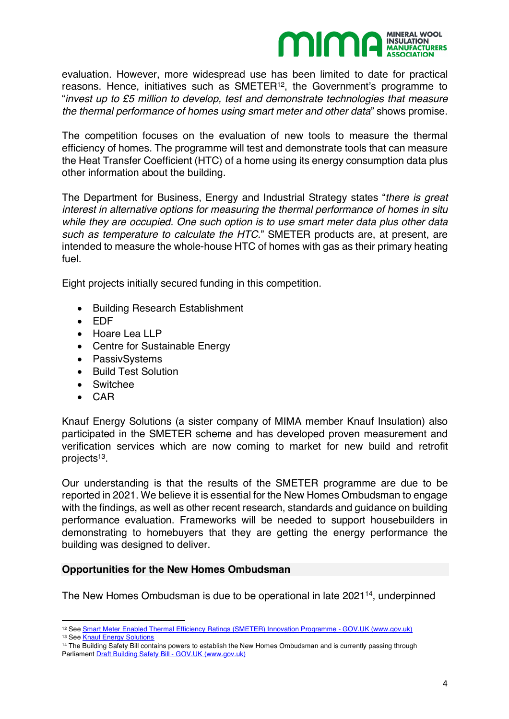

evaluation. However, more widespread use has been limited to date for practical reasons. Hence, initiatives such as SMETER<sup>12</sup>, the Government's programme to "*invest up to £5 million to develop, test and demonstrate technologies that measure the thermal performance of homes using smart meter and other data*" shows promise.

The competition focuses on the evaluation of new tools to measure the thermal efficiency of homes. The programme will test and demonstrate tools that can measure the Heat Transfer Coefficient (HTC) of a home using its energy consumption data plus other information about the building.

The Department for Business, Energy and Industrial Strategy states "*there is great interest in alternative options for measuring the thermal performance of homes in situ while they are occupied. One such option is to use smart meter data plus other data such as temperature to calculate the HTC.*" SMETER products are, at present, are intended to measure the whole-house HTC of homes with gas as their primary heating fuel.

Eight projects initially secured funding in this competition.

- Building Research Establishment
- EDF
- Hoare Lea LLP
- Centre for Sustainable Energy
- PassivSystems
- Build Test Solution
- Switchee
- CAR

Knauf Energy Solutions (a sister company of MIMA member Knauf Insulation) also participated in the SMETER scheme and has developed proven measurement and verification services which are now coming to market for new build and retrofit projects<sup>13</sup>.

Our understanding is that the results of the SMETER programme are due to be reported in 2021. We believe it is essential for the New Homes Ombudsman to engage with the findings, as well as other recent research, standards and guidance on building performance evaluation. Frameworks will be needed to support housebuilders in demonstrating to homebuyers that they are getting the energy performance the building was designed to deliver.

## **Opportunities for the New Homes Ombudsman**

The New Homes Ombudsman is due to be operational in late 202114, underpinned

 $\overline{\phantom{a}}$ 12 See Smart Meter Enabled Thermal Efficiency Ratings (SMETER) Innovation Programme - GOV.UK (www.gov.uk)

<sup>13</sup> See Knauf Energy Solutions

<sup>&</sup>lt;sup>14</sup> The Building Safety Bill contains powers to establish the New Homes Ombudsman and is currently passing through Parliament Draft Building Safety Bill - GOV.UK (www.gov.uk)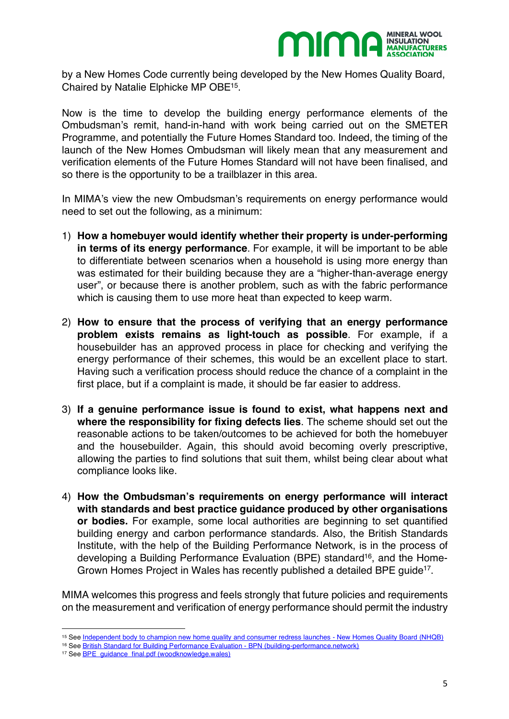

by a New Homes Code currently being developed by the New Homes Quality Board, Chaired by Natalie Elphicke MP OBE15.

Now is the time to develop the building energy performance elements of the Ombudsman's remit, hand-in-hand with work being carried out on the SMETER Programme, and potentially the Future Homes Standard too. Indeed, the timing of the launch of the New Homes Ombudsman will likely mean that any measurement and verification elements of the Future Homes Standard will not have been finalised, and so there is the opportunity to be a trailblazer in this area.

In MIMA's view the new Ombudsman's requirements on energy performance would need to set out the following, as a minimum:

- 1) **How a homebuyer would identify whether their property is under-performing in terms of its energy performance**. For example, it will be important to be able to differentiate between scenarios when a household is using more energy than was estimated for their building because they are a "higher-than-average energy user", or because there is another problem, such as with the fabric performance which is causing them to use more heat than expected to keep warm.
- 2) **How to ensure that the process of verifying that an energy performance problem exists remains as light-touch as possible**. For example, if a housebuilder has an approved process in place for checking and verifying the energy performance of their schemes, this would be an excellent place to start. Having such a verification process should reduce the chance of a complaint in the first place, but if a complaint is made, it should be far easier to address.
- 3) **If a genuine performance issue is found to exist, what happens next and where the responsibility for fixing defects lies**. The scheme should set out the reasonable actions to be taken/outcomes to be achieved for both the homebuyer and the housebuilder. Again, this should avoid becoming overly prescriptive, allowing the parties to find solutions that suit them, whilst being clear about what compliance looks like.
- 4) **How the Ombudsman's requirements on energy performance will interact with standards and best practice guidance produced by other organisations or bodies.** For example, some local authorities are beginning to set quantified building energy and carbon performance standards. Also, the British Standards Institute, with the help of the Building Performance Network, is in the process of developing a Building Performance Evaluation (BPE) standard<sup>16</sup>, and the Home-Grown Homes Project in Wales has recently published a detailed BPE quide<sup>17</sup>.

MIMA welcomes this progress and feels strongly that future policies and requirements on the measurement and verification of energy performance should permit the industry

l

<sup>15</sup> See Independent body to champion new home quality and consumer redress launches - New Homes Quality Board (NHQB)

<sup>16</sup> See British Standard for Building Performance Evaluation - BPN (building-performance.network)

<sup>&</sup>lt;sup>17</sup> See BPE\_quidance\_final.pdf (woodknowledge.wales)